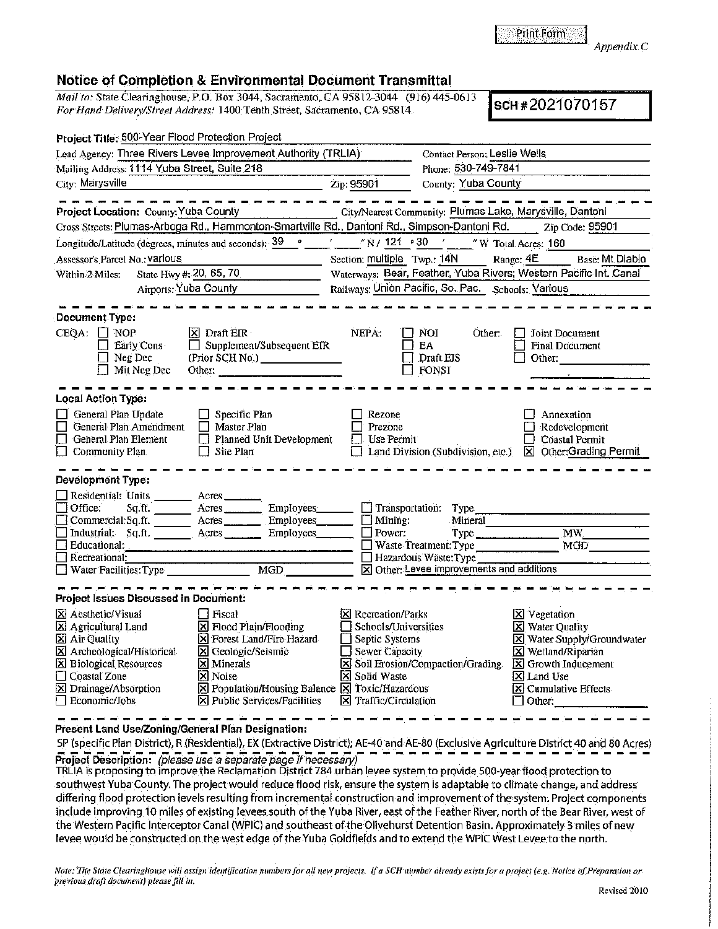Print Form **J**<br>Appendix C

## **Notice of Completion & Environmental Document Transmittal**

Project Title: 500-Year Flood Protection Project

*Mail to:* State Clearinghouse, P.O. Box 3044, Sacramento, CA 95812-3044 (916) 445-0613 *For Hand Delivery/Street Address:* 1400 Tenth Street, Sacramento, CA 95814 (910) 445-0013<br>For Hand Delivery/Street Address: 1400 Tenth Street, Sacramento, CA 95814

| Lead Agency: Three Rivers Levee Improvement Authority (TRLIA)                                                                                                                                                                 |                                                                                                                                                                                                                                                                                                                                                                                             | Contact Person; Leslie Wells                                                                                                                                  |                                                                                                                                |                                                                                                                                                                                                                          |  |  |  |
|-------------------------------------------------------------------------------------------------------------------------------------------------------------------------------------------------------------------------------|---------------------------------------------------------------------------------------------------------------------------------------------------------------------------------------------------------------------------------------------------------------------------------------------------------------------------------------------------------------------------------------------|---------------------------------------------------------------------------------------------------------------------------------------------------------------|--------------------------------------------------------------------------------------------------------------------------------|--------------------------------------------------------------------------------------------------------------------------------------------------------------------------------------------------------------------------|--|--|--|
| Mailing Address: 1114 Yuba Street, Suite 218                                                                                                                                                                                  |                                                                                                                                                                                                                                                                                                                                                                                             | Phone: 530-749-7841                                                                                                                                           |                                                                                                                                |                                                                                                                                                                                                                          |  |  |  |
| City: Marysville                                                                                                                                                                                                              |                                                                                                                                                                                                                                                                                                                                                                                             | Zip: 95901                                                                                                                                                    | County: Yuba County                                                                                                            |                                                                                                                                                                                                                          |  |  |  |
| Project Location: County: Yuba County<br>Cross Streets: Plumas-Arboga Rd., Hammonton-Smartville Rd., Dantoni Rd., Simpson-Dantoni Rd.                                                                                         |                                                                                                                                                                                                                                                                                                                                                                                             |                                                                                                                                                               |                                                                                                                                | City/Nearest Community: Plumas Lake, Marysville, Dantoni<br>Zip Code: 95901                                                                                                                                              |  |  |  |
| Longitude/Latitude (degrees, minutes and seconds): 39 °                                                                                                                                                                       |                                                                                                                                                                                                                                                                                                                                                                                             |                                                                                                                                                               | "N / 121 ° 30 / _____ "W Total Acres: 160                                                                                      |                                                                                                                                                                                                                          |  |  |  |
| Assessor's Parcel No.: Various                                                                                                                                                                                                | Range: 4E<br>Section: multiple Twp.: 14N<br>Base: Mt Diablo                                                                                                                                                                                                                                                                                                                                 |                                                                                                                                                               |                                                                                                                                |                                                                                                                                                                                                                          |  |  |  |
| State Hwy #: 20, 65, 70<br>Within 2 Miles:<br>Airports: Yuba County                                                                                                                                                           |                                                                                                                                                                                                                                                                                                                                                                                             | Waterways: Bear, Feather, Yuba Rivers; Western Pacific Int. Canal<br>Railways: Union Pacific, So. Pac. Schools: Various                                       |                                                                                                                                |                                                                                                                                                                                                                          |  |  |  |
| <b>Document Type:</b>                                                                                                                                                                                                         |                                                                                                                                                                                                                                                                                                                                                                                             |                                                                                                                                                               |                                                                                                                                |                                                                                                                                                                                                                          |  |  |  |
| $CEQA: \Box NOP$<br>Early Cons<br>Neg Dec<br>Mit Neg Dec                                                                                                                                                                      | X Draft EIR<br>$\Box$ Supplement/Subsequent EIR<br>(Prior SCH No.)<br>Other: $\frac{1}{1}$ $\frac{1}{1}$ $\frac{1}{1}$ $\frac{1}{1}$ $\frac{1}{1}$ $\frac{1}{1}$ $\frac{1}{1}$ $\frac{1}{1}$ $\frac{1}{1}$ $\frac{1}{1}$ $\frac{1}{1}$ $\frac{1}{1}$ $\frac{1}{1}$ $\frac{1}{1}$ $\frac{1}{1}$ $\frac{1}{1}$ $\frac{1}{1}$ $\frac{1}{1}$ $\frac{1}{1}$ $\frac{1}{1}$ $\frac{1}{1}$ $\frac{$ | NEPA:                                                                                                                                                         | NOI.<br>Other:<br>EA<br>Draft EIS<br>FONSI                                                                                     | Joint Document<br><b>Final Document</b><br>Other:                                                                                                                                                                        |  |  |  |
| <b>Local Action Type:</b>                                                                                                                                                                                                     |                                                                                                                                                                                                                                                                                                                                                                                             |                                                                                                                                                               |                                                                                                                                |                                                                                                                                                                                                                          |  |  |  |
| General Plan Update<br>$\Box$<br>General Plan Amendment<br>П<br>General Plan Element<br>$\Box$ Community Plan                                                                                                                 | Specific Plan<br>Master Plan<br>Planned Unit Development<br>Site Plan                                                                                                                                                                                                                                                                                                                       | Rezone<br>Prezone<br>Use Permit                                                                                                                               | Land Division (Subdivision, etc.)                                                                                              | Annexation<br>Redevelopment<br>Coastal Permit<br>Other: Grading Permit<br>⊠                                                                                                                                              |  |  |  |
| Development Type:                                                                                                                                                                                                             |                                                                                                                                                                                                                                                                                                                                                                                             |                                                                                                                                                               |                                                                                                                                |                                                                                                                                                                                                                          |  |  |  |
| Residential: Units _______ Acres _______<br>Office:<br>Sq.ft. Acres<br>Commercial:Sq.ft. _______ Acres ________ Employees<br>Industrial: Sq.ft. <u>Acres</u> Acres<br>Educational:<br>Recreational:<br>Water Facilities: Type | Employees<br><b>Employees</b><br>MGD<br>MGD                                                                                                                                                                                                                                                                                                                                                 | $\Box$ Mining:<br>$\Box$ Power:                                                                                                                               | Transportation: Type<br>Mineral<br>Waste Treatment: Type<br>Hazardous Waste: Type<br>X Other: Levee improvements and additions | MW<br>MGD                                                                                                                                                                                                                |  |  |  |
| <b>Project Issues Discussed in Document:</b>                                                                                                                                                                                  |                                                                                                                                                                                                                                                                                                                                                                                             |                                                                                                                                                               |                                                                                                                                |                                                                                                                                                                                                                          |  |  |  |
| X Aesthetic/Visual<br>X Agricultural Land<br>⊠ Air Quality<br>X Archeological/Historical<br>X Biological Resources<br>Coastal Zone<br>X Drainage/Absorption<br>□ Economic/Jobs                                                | l Fiscal<br>$\boxtimes$ Flood Plain/Flooding<br>X Forest Land/Fire Hazard<br>X Geologic/Seismic<br>X Minerals<br>X Noise<br>X Population/Housing Balance X Toxic/Hazardous<br>X Public Services/Facilities                                                                                                                                                                                  | [X] Recreation/Parks<br>Schools/Universities<br><b>Septic Systems</b><br><b>Sewer Capacity</b><br>l ł<br><b>X</b> Solid Waste<br>$\Sigma$ Traffic/Circulation | $\boxtimes$ Soil Erosion/Compaction/Grading                                                                                    | <b>冈</b> Vegetation<br><b>X</b> Water Quality<br>X Water Supply/Groundwater<br>X Wetland/Riparian<br>$\boxed{\mathbf{X}}$ Growth Inducement<br>X Land Use<br>$\overline{\mathbf{X}}$ Cumulative Effects<br>$\Box$ Other: |  |  |  |

Present Land Use/Zoning/General Plan Designation:

SP (specific Plan District), R (Residential), EX (Extractive District); AE-40 and AE-80 (Exclusive Agriculture District 40 and 80 Acres) **Project Description:** (please use a separate page if necessary)<br>TRLIA is proposing to improve the Reclamation District 784 urban levee system to provide 500-year flood protection to

southwest Yuba County. The project would reduce flood risk, ensure the system is adaptable to climate change, and address differing flood protection levels resulting from incremental construction and improvement of the-system. Project components include improving 10 miles of existing levees south of the Yuba River, east of the Feather River, north of the Bear River, west of the Western Pacific Interceptor Canal (WPIC) and southeast of the Olivehurst Detention Basin. Approximately 3 miles of new levee would be constructed on the west edge of the Yuba Goldfields and to extend the WPIC West Levee to the north.

Note: The State Clearinghouse will assign identification numbers for all new projects. If a SCH number already exists for a project (e.g. Notice of Preparation or *previous draft document*) please fill in.